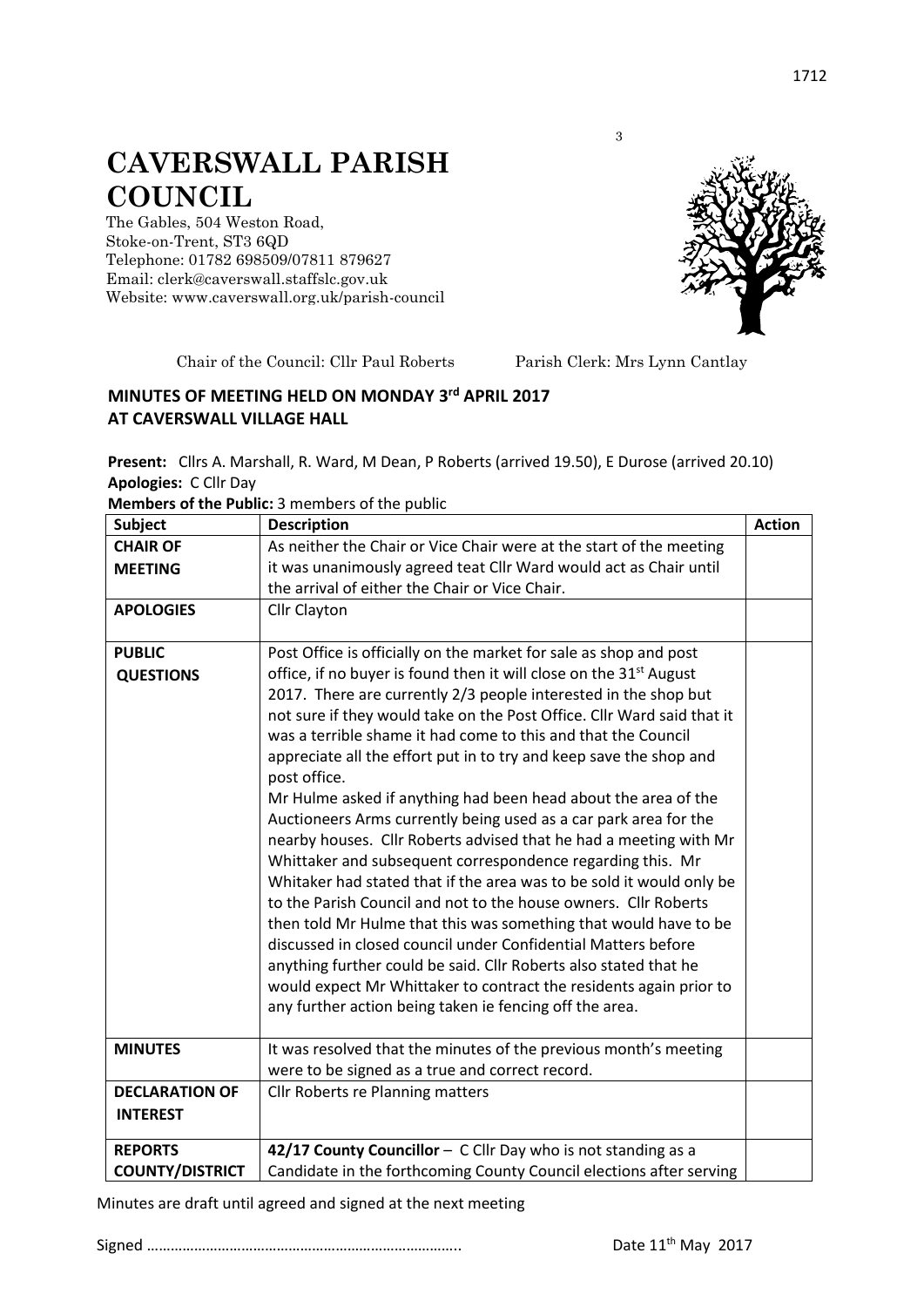## **CAVERSWALL PARISH COUNCIL**

The Gables, 504 Weston Road, Stoke-on-Trent, ST3 6QD Telephone: 01782 698509/07811 879627 Email: clerk@caverswall.staffslc.gov.uk Website: [www.c](http://www.dilhorneparishcouncil.co.uk/)averswall.org.uk/parish-council



Chair of the Council: Cllr Paul Roberts Parish Clerk: Mrs Lynn Cantlay

3

## **MINUTES OF MEETING HELD ON MONDAY 3 rd APRIL 2017 AT CAVERSWALL VILLAGE HALL**

**Present:** Cllrs A. Marshall, R. Ward, M Dean, P Roberts (arrived 19.50), E Durose (arrived 20.10) **Apologies:** C Cllr Day

**Members of the Public:** 3 members of the public

| <b>Subject</b>         | <b>Description</b>                                                             | <b>Action</b> |
|------------------------|--------------------------------------------------------------------------------|---------------|
| <b>CHAIR OF</b>        | As neither the Chair or Vice Chair were at the start of the meeting            |               |
| <b>MEETING</b>         | it was unanimously agreed teat Cllr Ward would act as Chair until              |               |
|                        | the arrival of either the Chair or Vice Chair.                                 |               |
| <b>APOLOGIES</b>       | Cllr Clayton                                                                   |               |
|                        |                                                                                |               |
| <b>PUBLIC</b>          | Post Office is officially on the market for sale as shop and post              |               |
| <b>QUESTIONS</b>       | office, if no buyer is found then it will close on the 31 <sup>st</sup> August |               |
|                        | 2017. There are currently 2/3 people interested in the shop but                |               |
|                        | not sure if they would take on the Post Office. Cllr Ward said that it         |               |
|                        | was a terrible shame it had come to this and that the Council                  |               |
|                        | appreciate all the effort put in to try and keep save the shop and             |               |
|                        | post office.                                                                   |               |
|                        | Mr Hulme asked if anything had been head about the area of the                 |               |
|                        | Auctioneers Arms currently being used as a car park area for the               |               |
|                        | nearby houses. Cllr Roberts advised that he had a meeting with Mr              |               |
|                        | Whittaker and subsequent correspondence regarding this. Mr                     |               |
|                        | Whitaker had stated that if the area was to be sold it would only be           |               |
|                        | to the Parish Council and not to the house owners. Cllr Roberts                |               |
|                        | then told Mr Hulme that this was something that would have to be               |               |
|                        | discussed in closed council under Confidential Matters before                  |               |
|                        | anything further could be said. Cllr Roberts also stated that he               |               |
|                        | would expect Mr Whittaker to contract the residents again prior to             |               |
|                        | any further action being taken ie fencing off the area.                        |               |
|                        |                                                                                |               |
| <b>MINUTES</b>         | It was resolved that the minutes of the previous month's meeting               |               |
|                        | were to be signed as a true and correct record.                                |               |
| <b>DECLARATION OF</b>  | Cllr Roberts re Planning matters                                               |               |
| <b>INTEREST</b>        |                                                                                |               |
| <b>REPORTS</b>         | 42/17 County Councillor - C Cllr Day who is not standing as a                  |               |
| <b>COUNTY/DISTRICT</b> | Candidate in the forthcoming County Council elections after serving            |               |

Minutes are draft until agreed and signed at the next meeting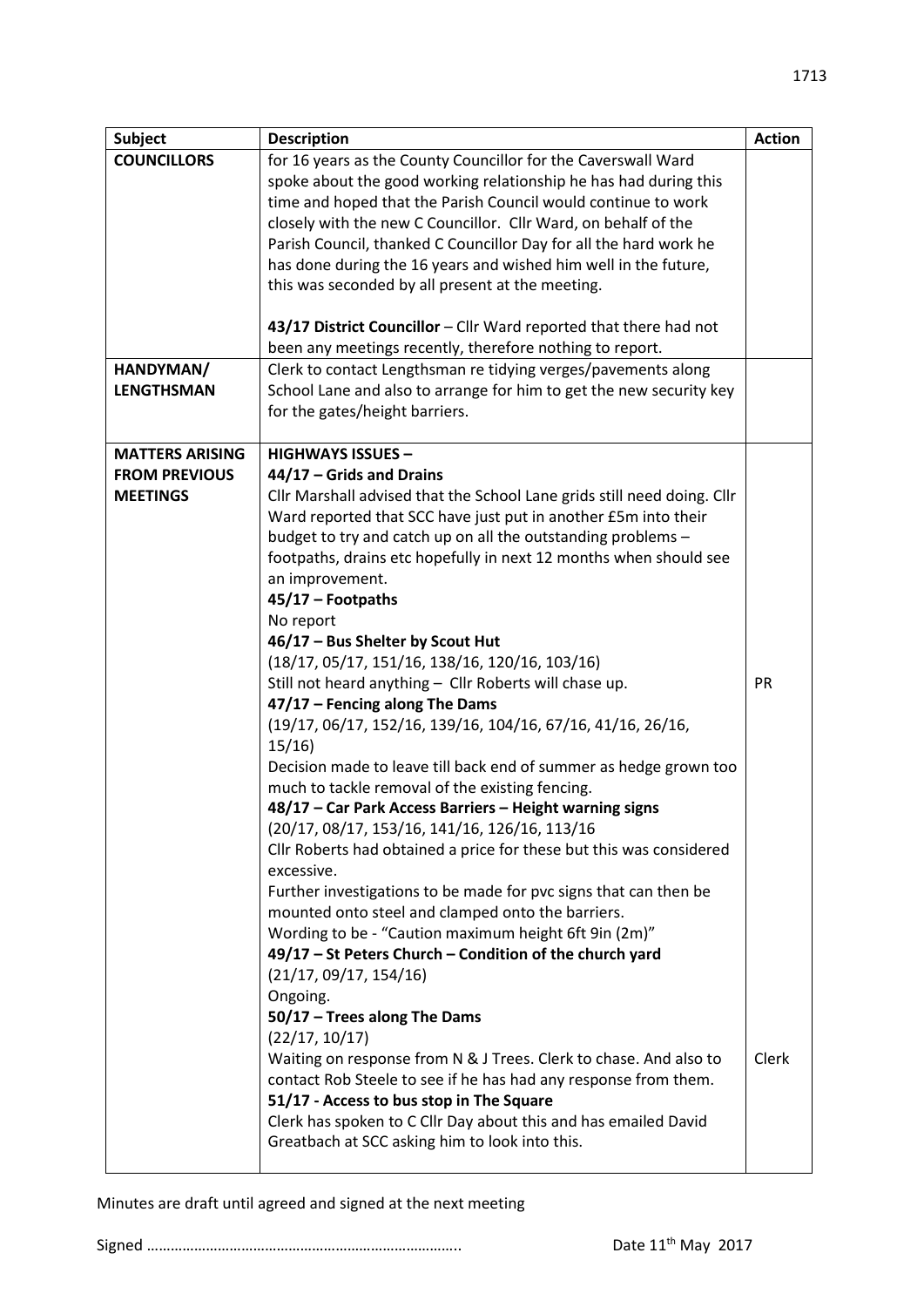| <b>Subject</b>         | <b>Description</b>                                                                                                                        | <b>Action</b> |
|------------------------|-------------------------------------------------------------------------------------------------------------------------------------------|---------------|
| <b>COUNCILLORS</b>     | for 16 years as the County Councillor for the Caverswall Ward                                                                             |               |
|                        | spoke about the good working relationship he has had during this<br>time and hoped that the Parish Council would continue to work         |               |
|                        | closely with the new C Councillor. Cllr Ward, on behalf of the                                                                            |               |
|                        | Parish Council, thanked C Councillor Day for all the hard work he                                                                         |               |
|                        | has done during the 16 years and wished him well in the future,                                                                           |               |
|                        | this was seconded by all present at the meeting.                                                                                          |               |
|                        |                                                                                                                                           |               |
|                        | 43/17 District Councillor - Cllr Ward reported that there had not                                                                         |               |
| HANDYMAN/              | been any meetings recently, therefore nothing to report.<br>Clerk to contact Lengthsman re tidying verges/pavements along                 |               |
| <b>LENGTHSMAN</b>      | School Lane and also to arrange for him to get the new security key                                                                       |               |
|                        | for the gates/height barriers.                                                                                                            |               |
|                        |                                                                                                                                           |               |
| <b>MATTERS ARISING</b> | <b>HIGHWAYS ISSUES -</b>                                                                                                                  |               |
| <b>FROM PREVIOUS</b>   | 44/17 - Grids and Drains                                                                                                                  |               |
| <b>MEETINGS</b>        | Cllr Marshall advised that the School Lane grids still need doing. Cllr<br>Ward reported that SCC have just put in another £5m into their |               |
|                        | budget to try and catch up on all the outstanding problems -                                                                              |               |
|                        | footpaths, drains etc hopefully in next 12 months when should see                                                                         |               |
|                        | an improvement.                                                                                                                           |               |
|                        | 45/17 - Footpaths                                                                                                                         |               |
|                        | No report                                                                                                                                 |               |
|                        | 46/17 - Bus Shelter by Scout Hut                                                                                                          |               |
|                        | $(18/17, 05/17, 151/16, 138/16, 120/16, 103/16)$                                                                                          |               |
|                        | Still not heard anything - Cllr Roberts will chase up.                                                                                    | PR            |
|                        | 47/17 - Fencing along The Dams<br>(19/17, 06/17, 152/16, 139/16, 104/16, 67/16, 41/16, 26/16,                                             |               |
|                        | 15/16                                                                                                                                     |               |
|                        | Decision made to leave till back end of summer as hedge grown too                                                                         |               |
|                        | much to tackle removal of the existing fencing.                                                                                           |               |
|                        | 48/17 - Car Park Access Barriers - Height warning signs                                                                                   |               |
|                        | (20/17, 08/17, 153/16, 141/16, 126/16, 113/16                                                                                             |               |
|                        | Cllr Roberts had obtained a price for these but this was considered                                                                       |               |
|                        | excessive.                                                                                                                                |               |
|                        | Further investigations to be made for pvc signs that can then be<br>mounted onto steel and clamped onto the barriers.                     |               |
|                        | Wording to be - "Caution maximum height 6ft 9in (2m)"                                                                                     |               |
|                        | 49/17 - St Peters Church - Condition of the church yard                                                                                   |               |
|                        | (21/17, 09/17, 154/16)                                                                                                                    |               |
|                        | Ongoing.                                                                                                                                  |               |
|                        | 50/17 - Trees along The Dams                                                                                                              |               |
|                        | (22/17, 10/17)                                                                                                                            |               |
|                        | Waiting on response from N & J Trees. Clerk to chase. And also to<br>contact Rob Steele to see if he has had any response from them.      | Clerk         |
|                        | 51/17 - Access to bus stop in The Square                                                                                                  |               |
|                        | Clerk has spoken to C Cllr Day about this and has emailed David                                                                           |               |
|                        | Greatbach at SCC asking him to look into this.                                                                                            |               |
|                        |                                                                                                                                           |               |

Minutes are draft until agreed and signed at the next meeting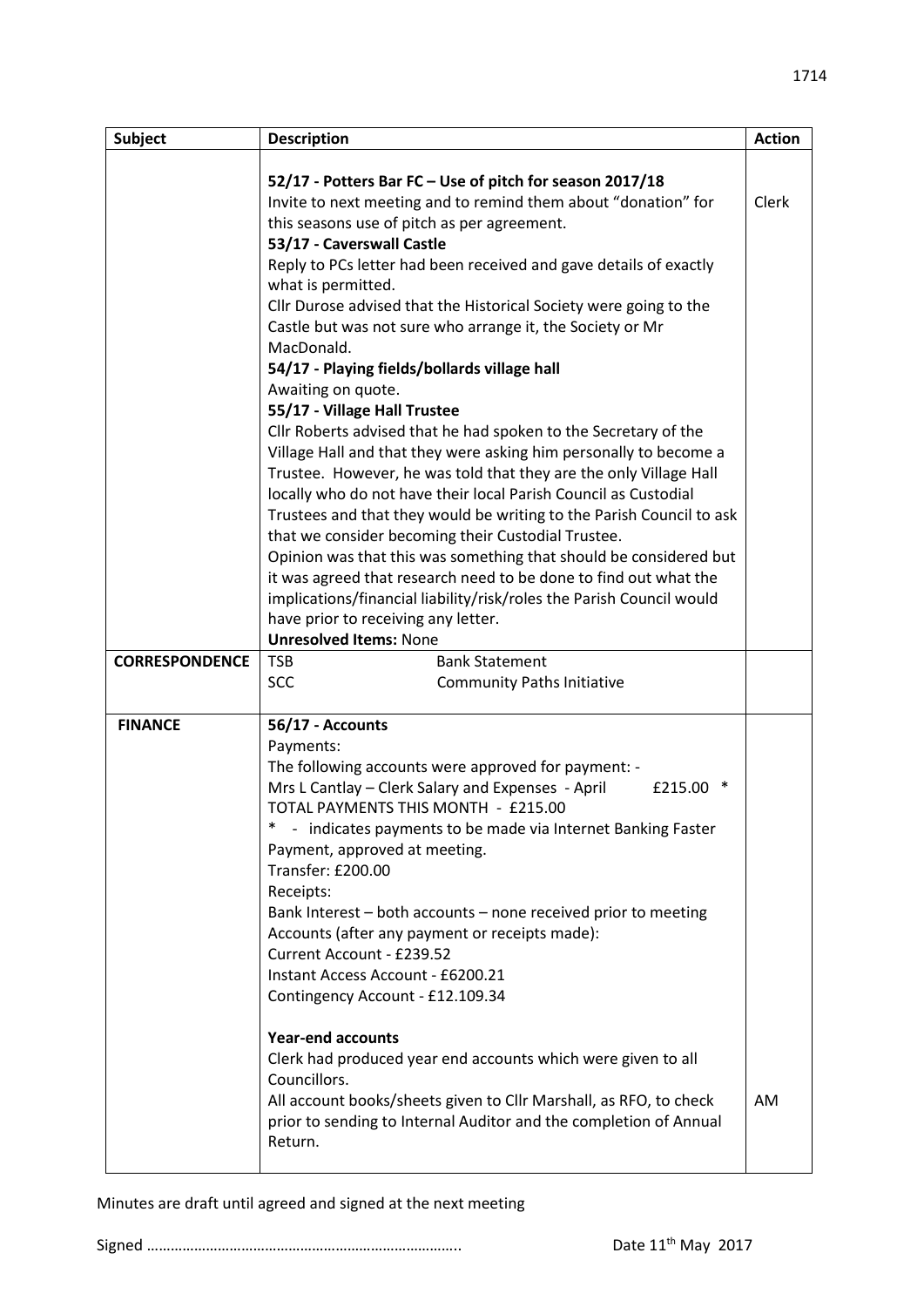| <b>Subject</b>        | <b>Description</b>                                                                                  | <b>Action</b> |
|-----------------------|-----------------------------------------------------------------------------------------------------|---------------|
|                       |                                                                                                     |               |
|                       | 52/17 - Potters Bar FC - Use of pitch for season 2017/18                                            |               |
|                       | Invite to next meeting and to remind them about "donation" for                                      | <b>Clerk</b>  |
|                       | this seasons use of pitch as per agreement.                                                         |               |
|                       | 53/17 - Caverswall Castle                                                                           |               |
|                       | Reply to PCs letter had been received and gave details of exactly                                   |               |
|                       | what is permitted.                                                                                  |               |
|                       | Cllr Durose advised that the Historical Society were going to the                                   |               |
|                       | Castle but was not sure who arrange it, the Society or Mr                                           |               |
|                       | MacDonald.                                                                                          |               |
|                       | 54/17 - Playing fields/bollards village hall                                                        |               |
|                       | Awaiting on quote.                                                                                  |               |
|                       | 55/17 - Village Hall Trustee                                                                        |               |
|                       | Cllr Roberts advised that he had spoken to the Secretary of the                                     |               |
|                       | Village Hall and that they were asking him personally to become a                                   |               |
|                       | Trustee. However, he was told that they are the only Village Hall                                   |               |
|                       | locally who do not have their local Parish Council as Custodial                                     |               |
|                       | Trustees and that they would be writing to the Parish Council to ask                                |               |
|                       | that we consider becoming their Custodial Trustee.                                                  |               |
|                       | Opinion was that this was something that should be considered but                                   |               |
|                       | it was agreed that research need to be done to find out what the                                    |               |
|                       | implications/financial liability/risk/roles the Parish Council would                                |               |
|                       | have prior to receiving any letter.                                                                 |               |
|                       | <b>Unresolved Items: None</b>                                                                       |               |
| <b>CORRESPONDENCE</b> | <b>TSB</b><br><b>Bank Statement</b>                                                                 |               |
|                       | <b>SCC</b><br><b>Community Paths Initiative</b>                                                     |               |
|                       |                                                                                                     |               |
| <b>FINANCE</b>        | 56/17 - Accounts                                                                                    |               |
|                       | Payments:                                                                                           |               |
|                       | The following accounts were approved for payment: -<br>∗                                            |               |
|                       | Mrs L Cantlay - Clerk Salary and Expenses - April<br>£215.00<br>TOTAL PAYMENTS THIS MONTH - £215.00 |               |
|                       | *<br>- indicates payments to be made via Internet Banking Faster                                    |               |
|                       | Payment, approved at meeting.                                                                       |               |
|                       | Transfer: £200.00                                                                                   |               |
|                       | Receipts:                                                                                           |               |
|                       | Bank Interest - both accounts - none received prior to meeting                                      |               |
|                       | Accounts (after any payment or receipts made):                                                      |               |
|                       | Current Account - £239.52                                                                           |               |
|                       | Instant Access Account - £6200.21                                                                   |               |
|                       | Contingency Account - £12.109.34                                                                    |               |
|                       |                                                                                                     |               |
|                       | <b>Year-end accounts</b>                                                                            |               |
|                       | Clerk had produced year end accounts which were given to all                                        |               |
|                       | Councillors.                                                                                        |               |
|                       | All account books/sheets given to Cllr Marshall, as RFO, to check                                   | <b>AM</b>     |
|                       | prior to sending to Internal Auditor and the completion of Annual                                   |               |
|                       | Return.                                                                                             |               |
|                       |                                                                                                     |               |

Minutes are draft until agreed and signed at the next meeting